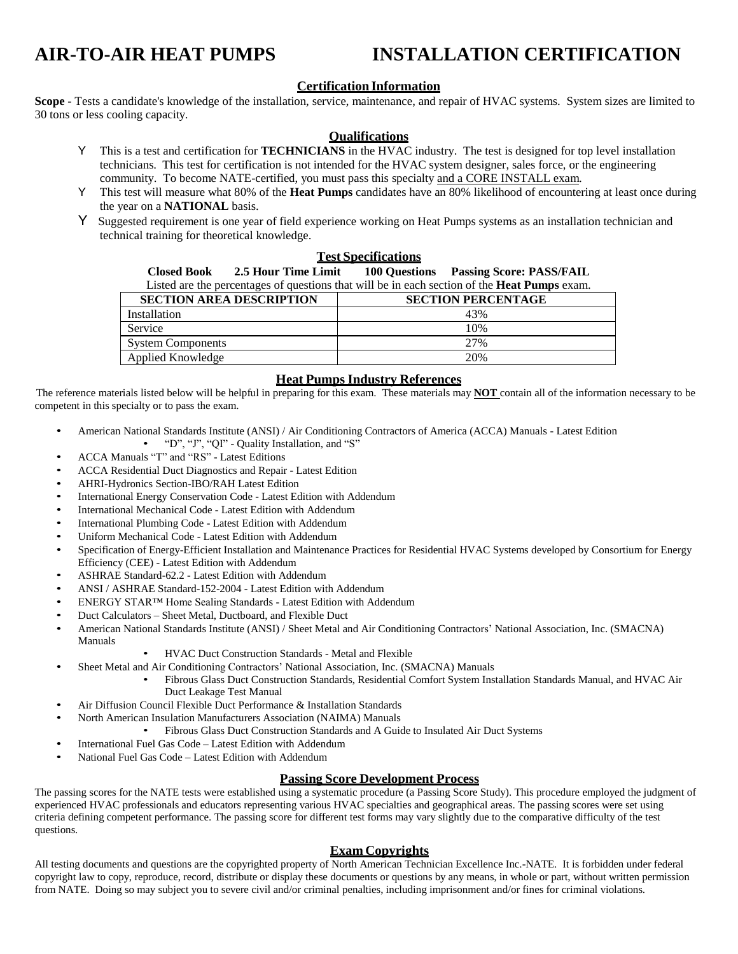## **AIR-TO-AIR HEAT PUMPS INSTALLATION CERTIFICATION**

#### **Certification Information**

**Scope -** Tests a candidate's knowledge of the installation, service, maintenance, and repair of HVAC systems. System sizes are limited to 30 tons or less cooling capacity.

#### **Qualifications**

- Y This is a test and certification for **TECHNICIANS** in the HVAC industry. The test is designed for top level installation technicians. This test for certification is not intended for the HVAC system designer, sales force, or the engineering community. To become NATE-certified, you must pass this specialty and a CORE INSTALL exam.
- Y This test will measure what 80% of the **Heat Pumps** candidates have an 80% likelihood of encountering at least once during the year on a **NATIONAL** basis.
- Y Suggested requirement is one year of field experience working on Heat Pumps systems as an installation technician and technical training for theoretical knowledge.

#### **Test Specifications**

**Closed Book 2.5 Hour Time Limit 100 Questions Passing Score: PASS/FAIL**

Listed are the percentages of questions that will be in each section of the **Heat Pumps** exam.

| <b>SECTION AREA DESCRIPTION</b> | <b>SECTION PERCENTAGE</b> |
|---------------------------------|---------------------------|
| Installation                    | 43%                       |
| Service                         | 10%                       |
| <b>System Components</b>        | 2.7%                      |
| Applied Knowledge               | 20%                       |

#### **Heat Pumps Industry References**

The reference materials listed below will be helpful in preparing for this exam. These materials may **NOT** contain all of the information necessary to be competent in this specialty or to pass the exam.

- American National Standards Institute (ANSI) / Air Conditioning Contractors of America (ACCA) Manuals Latest Edition • "D", "J", "QI" - Quality Installation, and "S"
- ACCA Manuals "T" and "RS" Latest Editions
- ACCA Residential Duct Diagnostics and Repair Latest Edition
- AHRI-Hydronics Section-IBO/RAH Latest Edition
- International Energy Conservation Code Latest Edition with Addendum
- International Mechanical Code Latest Edition with Addendum
- International Plumbing Code Latest Edition with Addendum
- Uniform Mechanical Code Latest Edition with Addendum
- Specification of Energy-Efficient Installation and Maintenance Practices for Residential HVAC Systems developed by Consortium for Energy Efficiency (CEE) - Latest Edition with Addendum
- ASHRAE Standard-62.2 Latest Edition with Addendum
- ANSI / ASHRAE Standard-152-2004 Latest Edition with Addendum
- ENERGY STAR™ Home Sealing Standards Latest Edition with Addendum
- Duct Calculators Sheet Metal, Ductboard, and Flexible Duct
- American National Standards Institute (ANSI) / Sheet Metal and Air Conditioning Contractors' National Association, Inc. (SMACNA) Manuals
	- HVAC Duct Construction Standards Metal and Flexible
	- Sheet Metal and Air Conditioning Contractors' National Association, Inc. (SMACNA) Manuals
		- Fibrous Glass Duct Construction Standards, Residential Comfort System Installation Standards Manual, and HVAC Air Duct Leakage Test Manual
- Air Diffusion Council Flexible Duct Performance & Installation Standards
- North American Insulation Manufacturers Association (NAIMA) Manuals
	- Fibrous Glass Duct Construction Standards and A Guide to Insulated Air Duct Systems
- International Fuel Gas Code Latest Edition with Addendum
- National Fuel Gas Code Latest Edition with Addendum

#### **Passing Score Development Process**

The passing scores for the NATE tests were established using a systematic procedure (a Passing Score Study). This procedure employed the judgment of experienced HVAC professionals and educators representing various HVAC specialties and geographical areas. The passing scores were set using criteria defining competent performance. The passing score for different test forms may vary slightly due to the comparative difficulty of the test questions.

#### **Exam Copyrights**

All testing documents and questions are the copyrighted property of North American Technician Excellence Inc.-NATE. It is forbidden under federal copyright law to copy, reproduce, record, distribute or display these documents or questions by any means, in whole or part, without written permission from NATE. Doing so may subject you to severe civil and/or criminal penalties, including imprisonment and/or fines for criminal violations.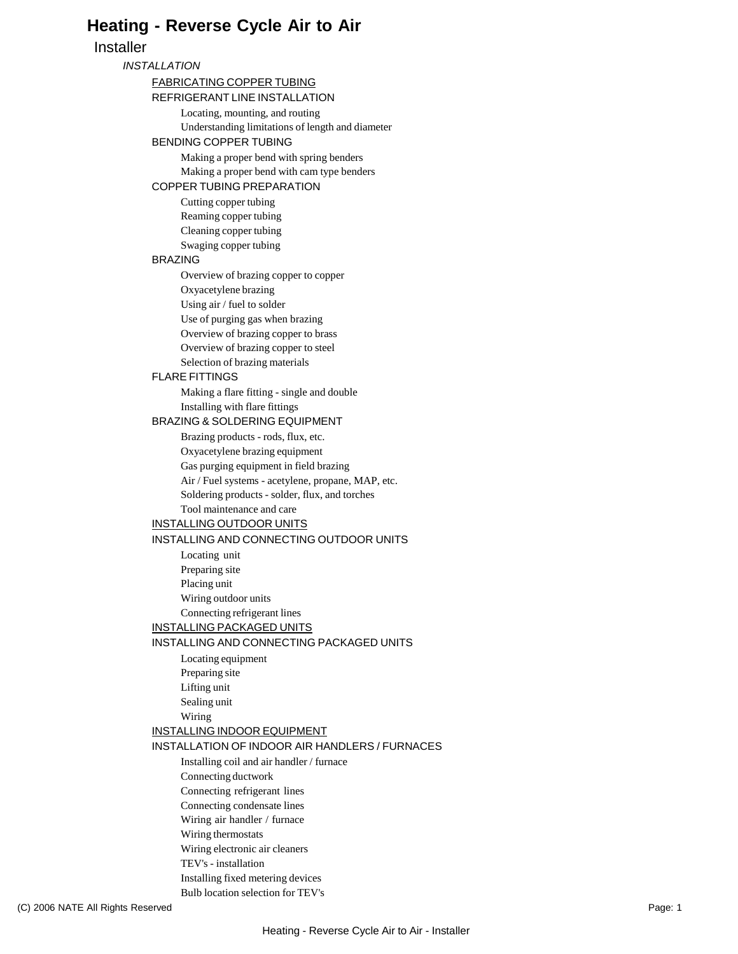## **Heating - Reverse Cycle Air to Air**

#### **Installer**

#### *INSTALLATION*

#### FABRICATING COPPER TUBING

REFRIGERANT LINE INSTALLATION

Locating, mounting, and routing Understanding limitations of length and diameter BENDING COPPER TUBING

Making a proper bend with spring benders Making a proper bend with cam type benders

#### COPPER TUBING PREPARATION

Cutting copper tubing Reaming copper tubing Cleaning copper tubing Swaging copper tubing

#### BRAZING

Overview of brazing copper to copper Oxyacetylene brazing Using air / fuel to solder Use of purging gas when brazing Overview of brazing copper to brass Overview of brazing copper to steel Selection of brazing materials

#### FLARE FITTINGS

Making a flare fitting - single and double Installing with flare fittings

#### BRAZING & SOLDERING EQUIPMENT

Brazing products - rods, flux, etc. Oxyacetylene brazing equipment Gas purging equipment in field brazing Air / Fuel systems - acetylene, propane, MAP, etc. Soldering products - solder, flux, and torches Tool maintenance and care

#### INSTALLING OUTDOOR UNITS

#### INSTALLING AND CONNECTING OUTDOOR UNITS

Locating unit Preparing site Placing unit Wiring outdoor units Connecting refrigerant lines

#### INSTALLING PACKAGED UNITS

#### INSTALLING AND CONNECTING PACKAGED UNITS

- Locating equipment Preparing site Lifting unit
- Sealing unit
- Wiring

#### INSTALLING INDOOR EQUIPMENT

INSTALLATION OF INDOOR AIR HANDLERS / FURNACES

Installing coil and air handler / furnace

- Connecting ductwork
- Connecting refrigerant lines
- Connecting condensate lines
- Wiring air handler / furnace
- Wiring thermostats
- Wiring electronic air cleaners
- TEV's installation
- Installing fixed metering devices Bulb location selection for TEV's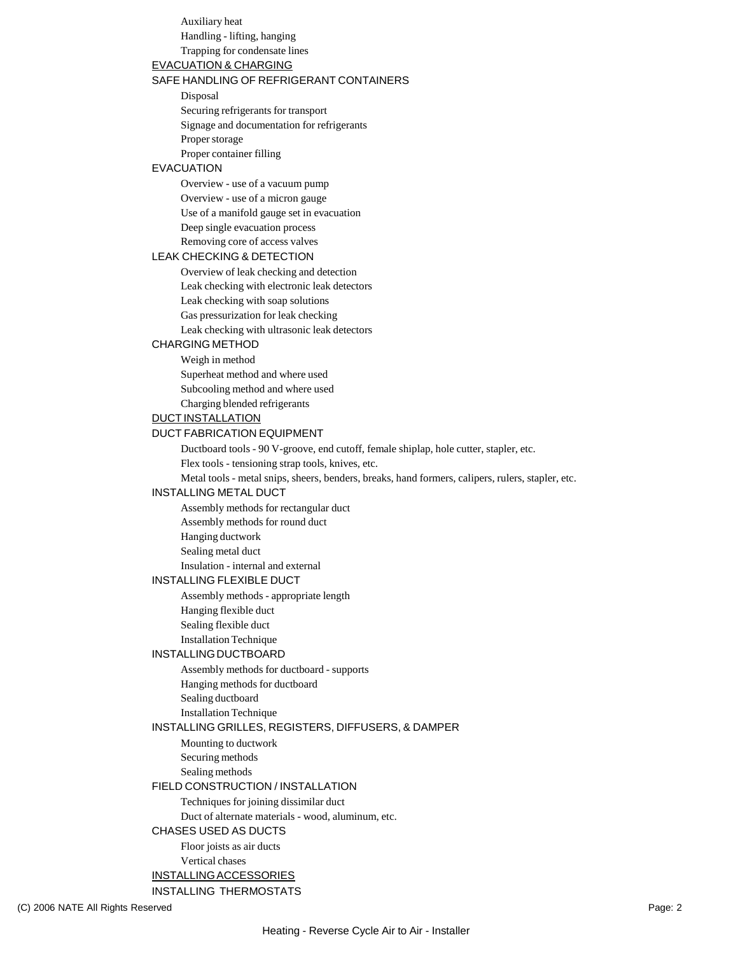Auxiliary heat Handling - lifting, hanging Trapping for condensate lines

#### EVACUATION & CHARGING

#### SAFE HANDLING OF REFRIGERANT CONTAINERS

Disposal

Securing refrigerants for transport

Signage and documentation for refrigerants

Proper storage

Proper container filling

#### EVACUATION

Overview - use of a vacuum pump Overview - use of a micron gauge Use of a manifold gauge set in evacuation Deep single evacuation process Removing core of access valves

#### LEAK CHECKING & DETECTION

Overview of leak checking and detection Leak checking with electronic leak detectors Leak checking with soap solutions Gas pressurization for leak checking Leak checking with ultrasonic leak detectors

#### CHARGING METHOD

Weigh in method Superheat method and where used Subcooling method and where used Charging blended refrigerants

DUCT INSTALLATION

#### DUCT FABRICATION EQUIPMENT

Ductboard tools - 90 V-groove, end cutoff, female shiplap, hole cutter, stapler, etc.

Flex tools - tensioning strap tools, knives, etc.

Metal tools - metal snips, sheers, benders, breaks, hand formers, calipers, rulers, stapler, etc.

#### INSTALLING METAL DUCT

Assembly methods for rectangular duct Assembly methods for round duct Hanging ductwork Sealing metal duct

Insulation - internal and external

#### INSTALLING FLEXIBLE DUCT

Assembly methods - appropriate length

Hanging flexible duct

Sealing flexible duct

Installation Technique

#### INSTALLING DUCTBOARD

Assembly methods for ductboard - supports

Hanging methods for ductboard

Sealing ductboard

Installation Technique

#### INSTALLING GRILLES, REGISTERS, DIFFUSERS, & DAMPER

Mounting to ductwork Securing methods

Sealing methods

#### FIELD CONSTRUCTION / INSTALLATION

Techniques for joining dissimilar duct

Duct of alternate materials - wood, aluminum, etc.

#### CHASES USED AS DUCTS

Floor joists as air ducts Vertical chases INSTALLINGACCESSORIES

#### INSTALLING THERMOSTATS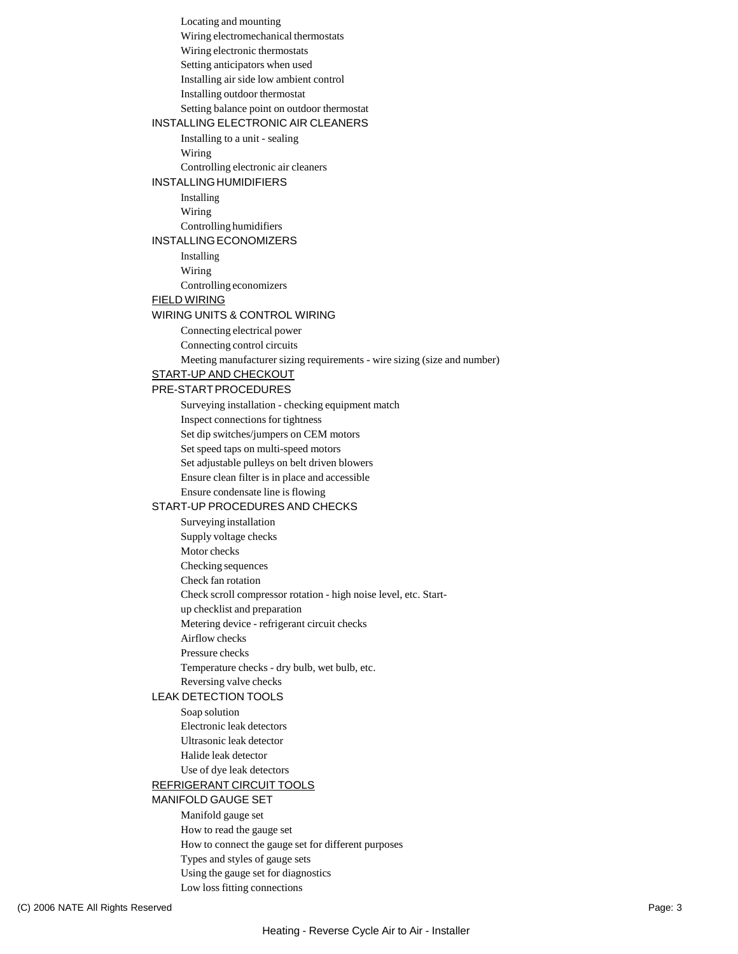Locating and mounting Wiring electromechanical thermostats Wiring electronic thermostats Setting anticipators when used Installing air side low ambient control Installing outdoor thermostat Setting balance point on outdoor thermostat INSTALLING ELECTRONIC AIR CLEANERS Installing to a unit - sealing Wiring Controlling electronic air cleaners INSTALLING HUMIDIFIERS Installing Wiring Controlling humidifiers INSTALLINGECONOMIZERS Installing Wiring Controlling economizers FIELD WIRING WIRING UNITS & CONTROL WIRING Connecting electrical power Connecting control circuits Meeting manufacturer sizing requirements - wire sizing (size and number) START-UP AND CHECKOUT PRE-STARTPROCEDURES Surveying installation - checking equipment match Inspect connections for tightness Set dip switches/jumpers on CEM motors Set speed taps on multi-speed motors Set adjustable pulleys on belt driven blowers Ensure clean filter is in place and accessible Ensure condensate line is flowing START-UP PROCEDURES AND CHECKS Surveying installation Supply voltage checks Motor checks Checking sequences Check fan rotation Check scroll compressor rotation - high noise level, etc. Startup checklist and preparation Metering device - refrigerant circuit checks Airflow checks Pressure checks Temperature checks - dry bulb, wet bulb, etc. Reversing valve checks LEAK DETECTION TOOLS Soap solution Electronic leak detectors Ultrasonic leak detector Halide leak detector Use of dye leak detectors REFRIGERANT CIRCUIT TOOLS MANIFOLD GAUGE SET Manifold gauge set How to read the gauge set How to connect the gauge set for different purposes Types and styles of gauge sets Using the gauge set for diagnostics

Low loss fitting connections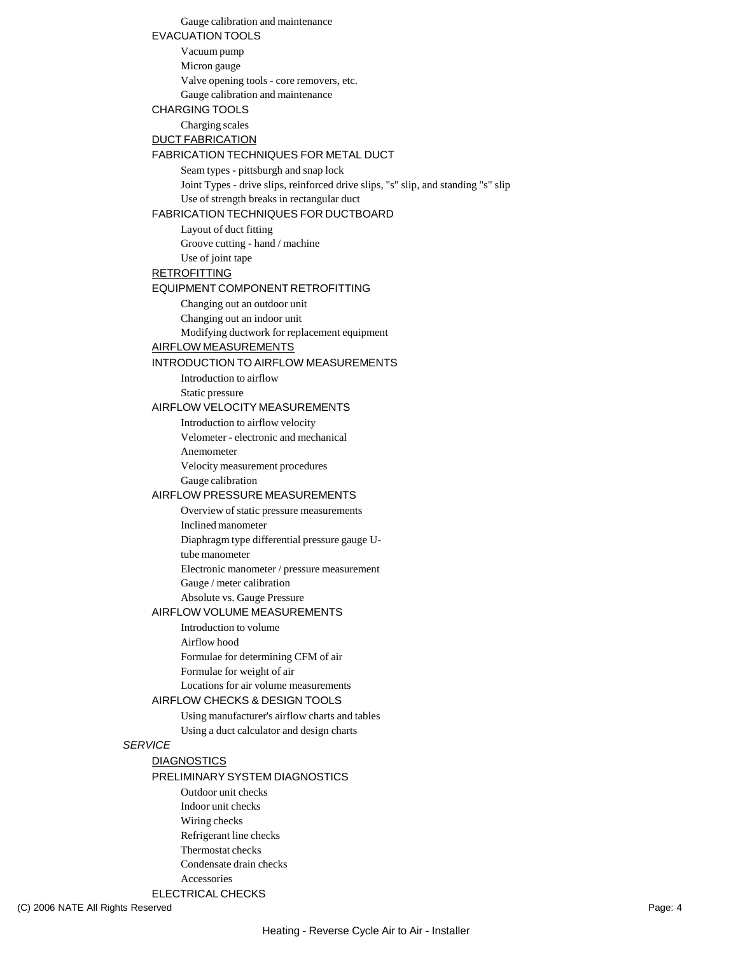Gauge calibration and maintenance EVACUATION TOOLS Vacuum pump Micron gauge Valve opening tools - core removers, etc. Gauge calibration and maintenance CHARGING TOOLS Charging scales DUCT FABRICATION FABRICATION TECHNIQUES FOR METAL DUCT Seam types - pittsburgh and snap lock Joint Types - drive slips, reinforced drive slips, "s" slip, and standing "s" slip Use of strength breaks in rectangular duct FABRICATION TECHNIQUES FOR DUCTBOARD Layout of duct fitting Groove cutting - hand / machine Use of joint tape **RETROFITTING** EQUIPMENT COMPONENT RETROFITTING Changing out an outdoor unit Changing out an indoor unit Modifying ductwork for replacement equipment AIRFLOW MEASUREMENTS INTRODUCTION TO AIRFLOW MEASUREMENTS Introduction to airflow Static pressure AIRFLOW VELOCITY MEASUREMENTS Introduction to airflow velocity Velometer - electronic and mechanical Anemometer Velocity measurement procedures Gauge calibration AIRFLOW PRESSURE MEASUREMENTS Overview of static pressure measurements Inclined manometer Diaphragm type differential pressure gauge Utube manometer Electronic manometer / pressure measurement Gauge / meter calibration Absolute vs. Gauge Pressure AIRFLOW VOLUME MEASUREMENTS Introduction to volume Airflow hood Formulae for determining CFM of air Formulae for weight of air Locations for air volume measurements AIRFLOW CHECKS & DESIGN TOOLS Using manufacturer's airflow charts and tables Using a duct calculator and design charts *SERVICE* **DIAGNOSTICS** PRELIMINARY SYSTEM DIAGNOSTICS Outdoor unit checks Indoor unit checks Wiring checks Refrigerant line checks Thermostat checks Condensate drain checks Accessories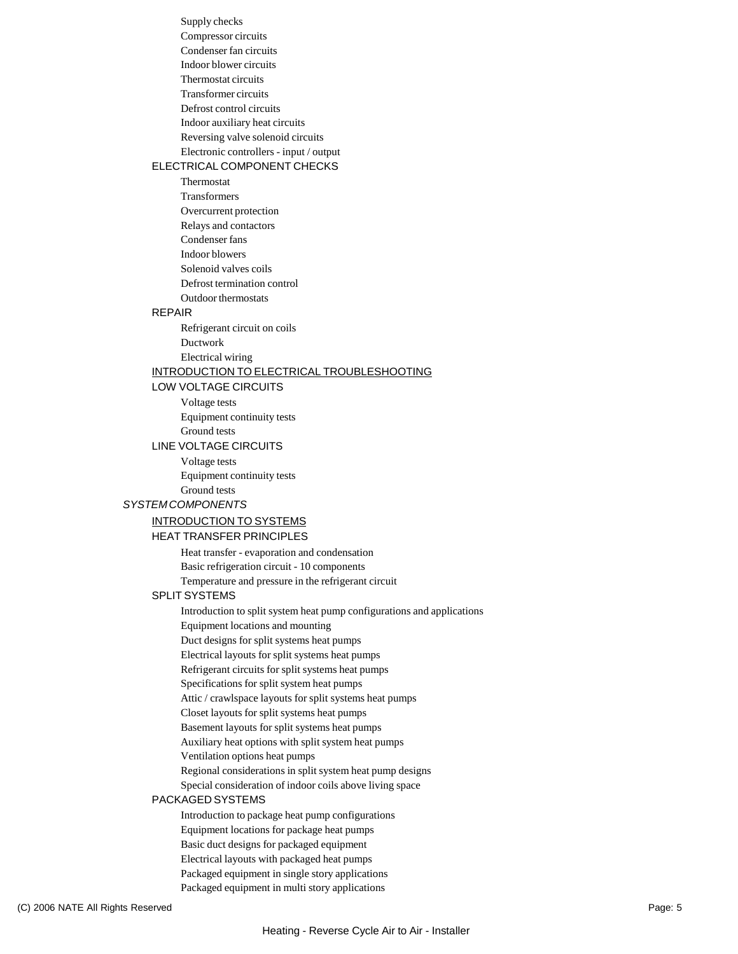Supply checks Compressor circuits Condenser fan circuits Indoor blower circuits Thermostat circuits Transformer circuits Defrost control circuits Indoor auxiliary heat circuits Reversing valve solenoid circuits Electronic controllers - input / output

#### ELECTRICAL COMPONENT CHECKS

Thermostat Transformers Overcurrent protection Relays and contactors Condenser fans Indoor blowers Solenoid valves coils Defrost termination control Outdoor thermostats

#### REPAIR

Refrigerant circuit on coils Ductwork Electrical wiring

#### INTRODUCTION TO ELECTRICAL TROUBLESHOOTING

#### LOW VOLTAGE CIRCUITS

Voltage tests Equipment continuity tests Ground tests

#### LINE VOLTAGE CIRCUITS

Voltage tests Equipment continuity tests Ground tests

#### *SYSTEM COMPONENTS*

#### INTRODUCTION TO SYSTEMS

#### HEAT TRANSFER PRINCIPLES

Heat transfer - evaporation and condensation Basic refrigeration circuit - 10 components Temperature and pressure in the refrigerant circuit

#### SPLIT SYSTEMS

Introduction to split system heat pump configurations and applications Equipment locations and mounting Duct designs for split systems heat pumps Electrical layouts for split systems heat pumps Refrigerant circuits for split systems heat pumps Specifications for split system heat pumps Attic / crawlspace layouts for split systems heat pumps Closet layouts for split systems heat pumps Basement layouts for split systems heat pumps Auxiliary heat options with split system heat pumps Ventilation options heat pumps Regional considerations in split system heat pump designs Special consideration of indoor coils above living space

#### PACKAGED SYSTEMS

Introduction to package heat pump configurations Equipment locations for package heat pumps Basic duct designs for packaged equipment Electrical layouts with packaged heat pumps Packaged equipment in single story applications Packaged equipment in multi story applications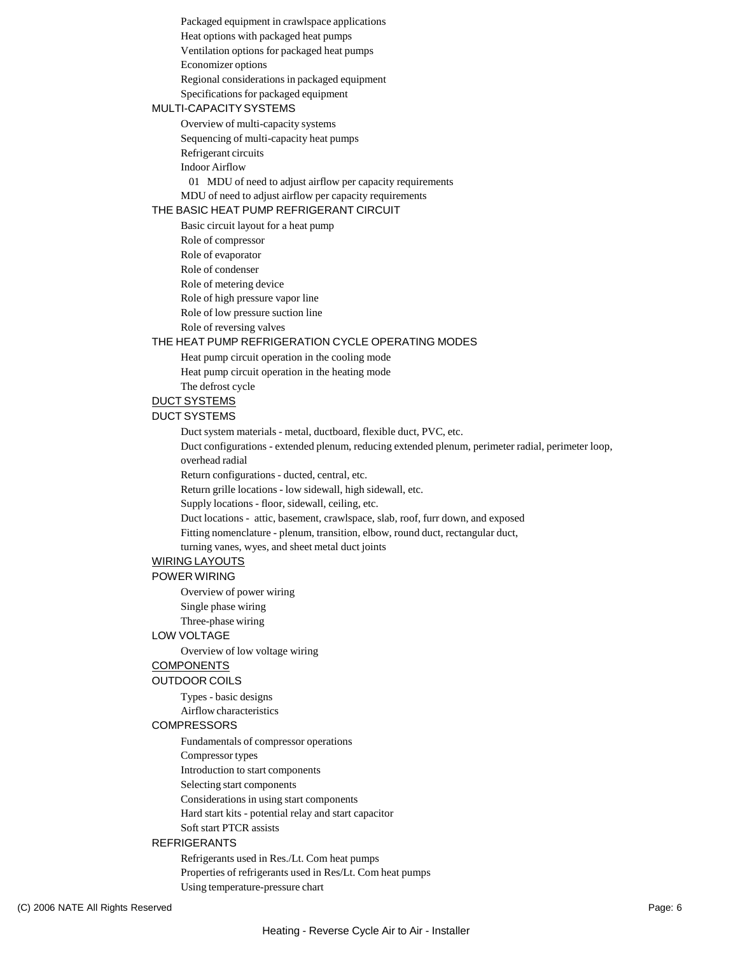Packaged equipment in crawlspace applications Heat options with packaged heat pumps Ventilation options for packaged heat pumps

Economizer options

Regional considerations in packaged equipment

Specifications for packaged equipment

#### MULTI-CAPACITY SYSTEMS

Overview of multi-capacity systems

Sequencing of multi-capacity heat pumps

Refrigerant circuits

Indoor Airflow

01 MDU of need to adjust airflow per capacity requirements

#### MDU of need to adjust airflow per capacity requirements

#### THE BASIC HEAT PUMP REFRIGERANT CIRCUIT

Basic circuit layout for a heat pump Role of compressor Role of evaporator Role of condenser Role of metering device Role of high pressure vapor line Role of low pressure suction line Role of reversing valves

#### THE HEAT PUMP REFRIGERATION CYCLE OPERATING MODES

Heat pump circuit operation in the cooling mode Heat pump circuit operation in the heating mode The defrost cycle

## DUCT SYSTEMS

### DUCT SYSTEMS

Duct system materials - metal, ductboard, flexible duct, PVC, etc.

Duct configurations - extended plenum, reducing extended plenum, perimeter radial, perimeter loop, overhead radial

Return configurations - ducted, central, etc.

Return grille locations - low sidewall, high sidewall, etc.

Supply locations - floor, sidewall, ceiling, etc.

Duct locations - attic, basement, crawlspace, slab, roof, furr down, and exposed

Fitting nomenclature - plenum, transition, elbow, round duct, rectangular duct,

turning vanes, wyes, and sheet metal duct joints

#### WIRING LAYOUTS

#### POWER WIRING

Overview of power wiring Single phase wiring

Three-phase wiring

#### LOW VOLTAGE

Overview of low voltage wiring

#### COMPONENTS

OUTDOOR COILS

Types - basic designs

## Airflow characteristics

#### **COMPRESSORS**

Fundamentals of compressor operations

Compressor types

Introduction to start components

Selecting start components

Considerations in using start components

Hard start kits - potential relay and start capacitor

Soft start PTCR assists

#### REFRIGERANTS

Refrigerants used in Res./Lt. Com heat pumps

Properties of refrigerants used in Res/Lt. Com heat pumps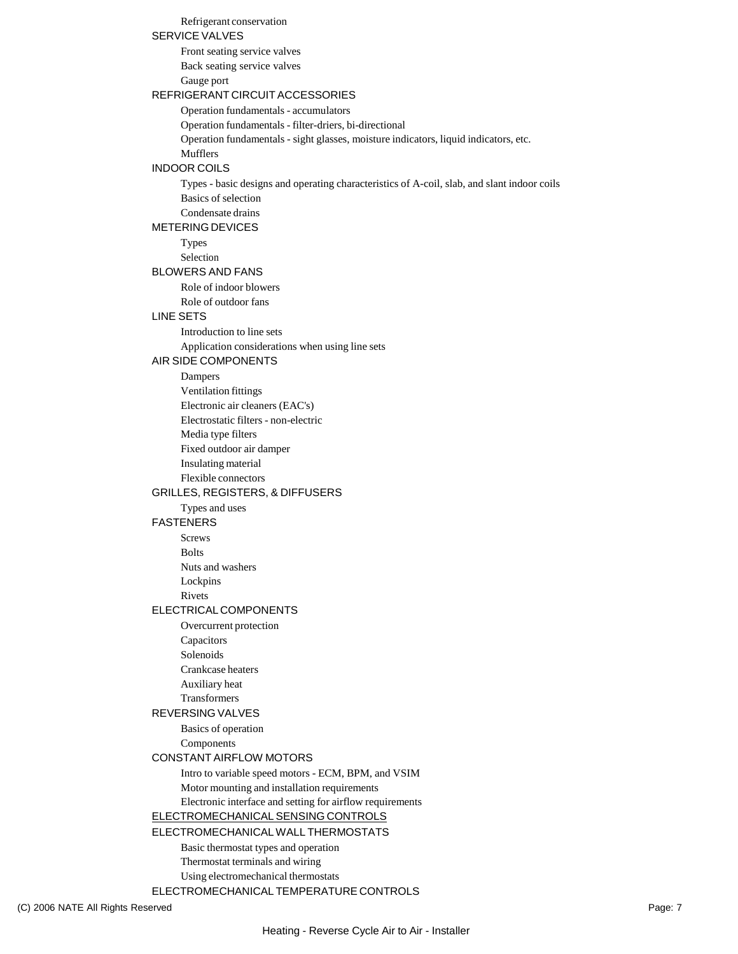#### Refrigerant conservation

#### SERVICE VALVES

Front seating service valves Back seating service valves Gauge port

#### REFRIGERANT CIRCUIT ACCESSORIES

Operation fundamentals - accumulators

Operation fundamentals - filter-driers, bi-directional

Operation fundamentals - sight glasses, moisture indicators, liquid indicators, etc.

Mufflers

#### INDOOR COILS

Types - basic designs and operating characteristics of A-coil, slab, and slant indoor coils Basics of selection

Condensate drains

## METERING DEVICES

Types

Selection

### BLOWERS AND FANS

Role of indoor blowers Role of outdoor fans

#### LINE SETS

Introduction to line sets Application considerations when using line sets

#### AIR SIDE COMPONENTS

Dampers

Ventilation fittings Electronic air cleaners (EAC's) Electrostatic filters - non-electric

Media type filters

Fixed outdoor air damper

Insulating material

Flexible connectors

#### GRILLES, REGISTERS, & DIFFUSERS

Types and uses

#### FASTENERS

Screws

Bolts

Nuts and washers

Lockpins

Rivets

#### ELECTRICAL COMPONENTS

Overcurrent protection

- Capacitors
- Solenoids

Crankcase heaters

Auxiliary heat

Transformers

#### REVERSING VALVES

Basics of operation Components

#### CONSTANT AIRFLOW MOTORS

Intro to variable speed motors - ECM, BPM, and VSIM Motor mounting and installation requirements Electronic interface and setting for airflow requirements

ELECTROMECHANICAL SENSING CONTROLS

ELECTROMECHANICALWALL THERMOSTATS

Basic thermostat types and operation Thermostat terminals and wiring

Using electromechanical thermostats

ELECTROMECHANICAL TEMPERATURE CONTROLS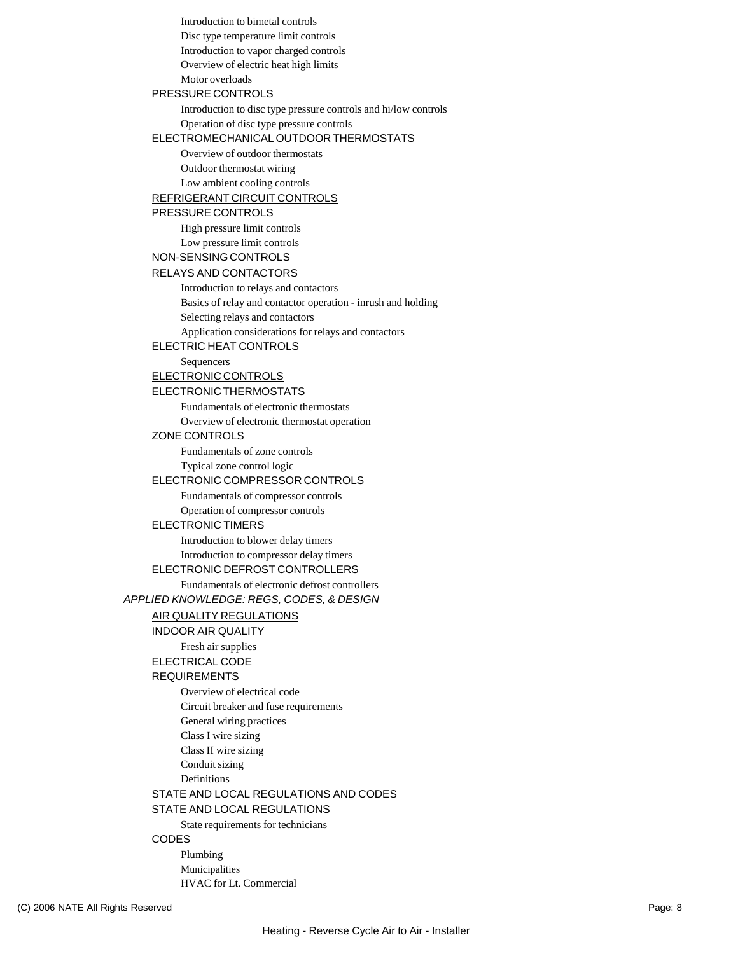Introduction to bimetal controls Disc type temperature limit controls Introduction to vapor charged controls Overview of electric heat high limits Motor overloads PRESSURE CONTROLS Introduction to disc type pressure controls and hi/low controls Operation of disc type pressure controls ELECTROMECHANICAL OUTDOOR THERMOSTATS Overview of outdoor thermostats Outdoor thermostat wiring Low ambient cooling controls REFRIGERANT CIRCUIT CONTROLS PRESSURE CONTROLS High pressure limit controls Low pressure limit controls NON-SENSINGCONTROLS RELAYS AND CONTACTORS Introduction to relays and contactors Basics of relay and contactor operation - inrush and holding Selecting relays and contactors Application considerations for relays and contactors ELECTRIC HEAT CONTROLS Sequencers ELECTRONIC CONTROLS ELECTRONIC THERMOSTATS Fundamentals of electronic thermostats Overview of electronic thermostat operation ZONE CONTROLS Fundamentals of zone controls Typical zone control logic ELECTRONIC COMPRESSOR CONTROLS Fundamentals of compressor controls Operation of compressor controls ELECTRONIC TIMERS Introduction to blower delay timers Introduction to compressor delay timers ELECTRONIC DEFROST CONTROLLERS Fundamentals of electronic defrost controllers *APPLIED KNOWLEDGE: REGS, CODES, & DESIGN* AIR QUALITY REGULATIONS INDOOR AIR QUALITY Fresh air supplies ELECTRICAL CODE REQUIREMENTS Overview of electrical code Circuit breaker and fuse requirements General wiring practices Class I wire sizing Class II wire sizing Conduit sizing Definitions STATE AND LOCAL REGULATIONS AND CODES STATE AND LOCAL REGULATIONS State requirements for technicians CODES Plumbing

Municipalities

HVAC for Lt. Commercial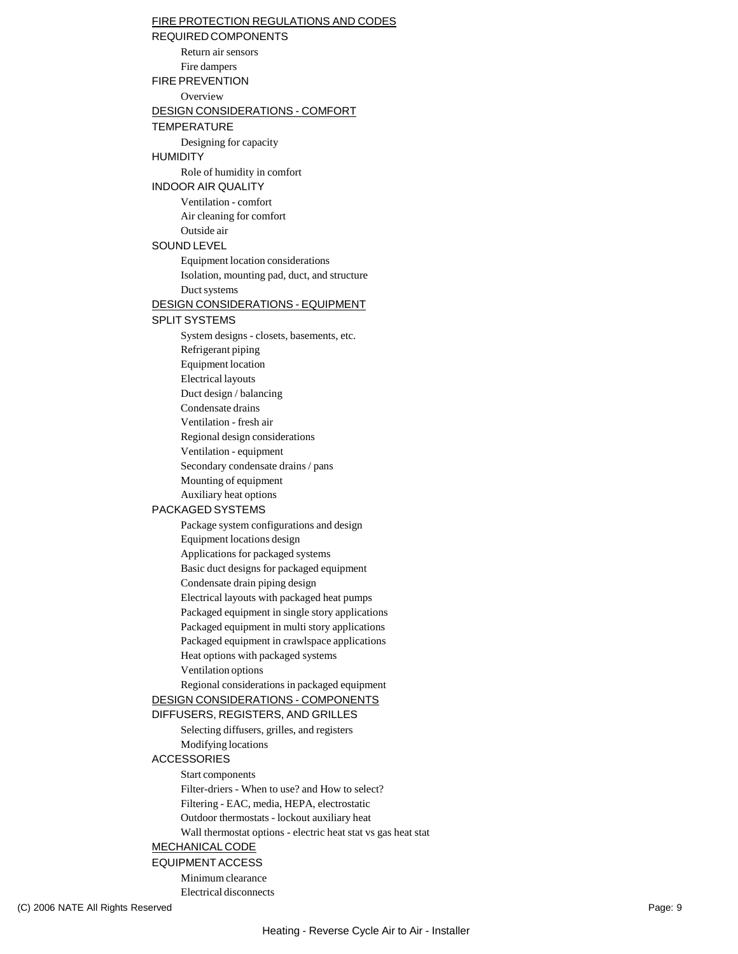#### (C) 2006 NATE All Rights Reserved Page: 9 FIRE PROTECTION REGULATIONS AND CODES REQUIREDCOMPONENTS Return air sensors Fire dampers FIRE PREVENTION **Overview** DESIGN CONSIDERATIONS - COMFORT TEMPERATURE Designing for capacity HUMIDITY Role of humidity in comfort INDOOR AIR QUALITY Ventilation - comfort Air cleaning for comfort Outside air SOUND LEVEL Equipment location considerations Isolation, mounting pad, duct, and structure Duct systems DESIGN CONSIDERATIONS - EQUIPMENT SPLIT SYSTEMS System designs - closets, basements, etc. Refrigerant piping Equipment location Electrical layouts Duct design / balancing Condensate drains Ventilation - fresh air Regional design considerations Ventilation - equipment Secondary condensate drains / pans Mounting of equipment Auxiliary heat options PACKAGED SYSTEMS Package system configurations and design Equipment locations design Applications for packaged systems Basic duct designs for packaged equipment Condensate drain piping design Electrical layouts with packaged heat pumps Packaged equipment in single story applications Packaged equipment in multi story applications Packaged equipment in crawlspace applications Heat options with packaged systems Ventilation options Regional considerations in packaged equipment DESIGN CONSIDERATIONS - COMPONENTS DIFFUSERS, REGISTERS, AND GRILLES Selecting diffusers, grilles, and registers Modifying locations ACCESSORIES Start components Filter-driers - When to use? and How to select? Filtering - EAC, media, HEPA, electrostatic Outdoor thermostats - lockout auxiliary heat Wall thermostat options - electric heat stat vs gas heat stat MECHANICAL CODE EQUIPMENTACCESS Minimum clearance Electrical disconnects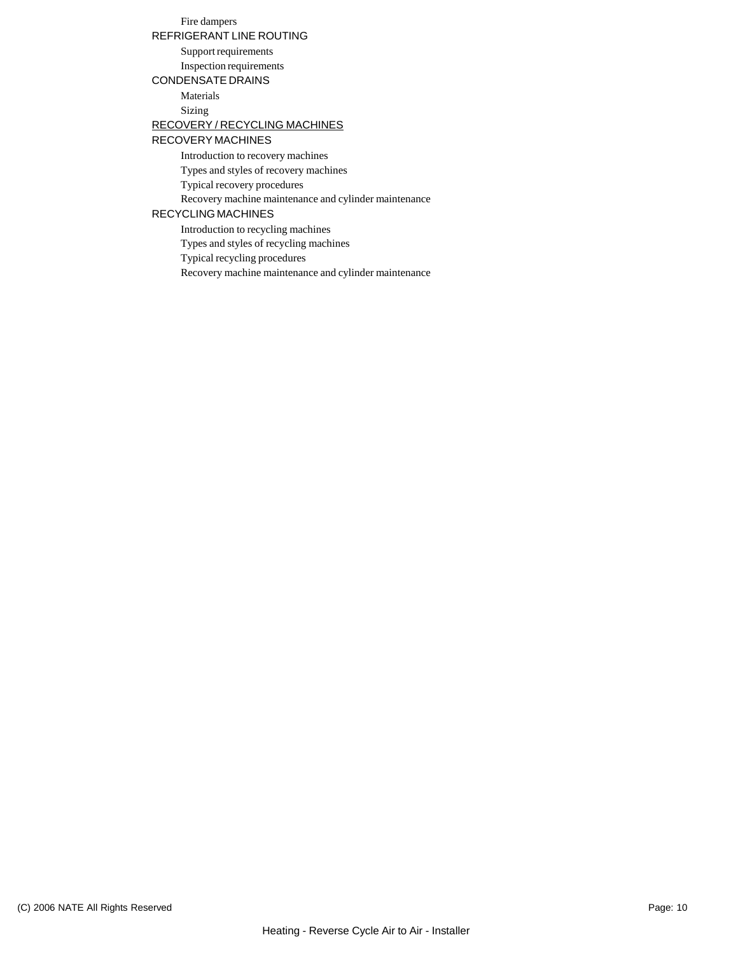## Fire dampers

REFRIGERANT LINE ROUTING

Support requirements Inspection requirements

#### CONDENSATE DRAINS

Materials Sizing

#### RECOVERY / RECYCLING MACHINES

#### RECOVERY MACHINES

Introduction to recovery machines

Types and styles of recovery machines

Typical recovery procedures

Recovery machine maintenance and cylinder maintenance

#### RECYCLING MACHINES

Introduction to recycling machines

Types and styles of recycling machines

Typical recycling procedures

Recovery machine maintenance and cylinder maintenance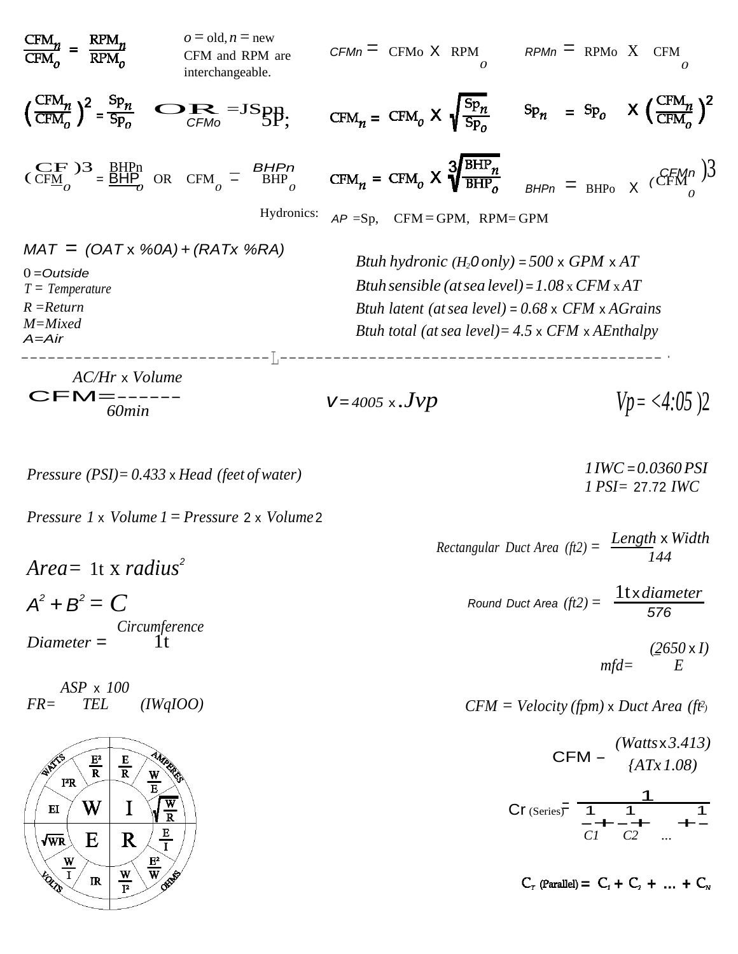

$$
Pressure (PSI) = 0.433 \times Head (feet of water)
$$



*Area=* 1t x *radius 2*  $A^2 + B^2 = C$ *Circumference*

*Diameter* = 1t

*ASP* x *100 FR= TEL (IWqIOO)*



*1IWC* =*0.0360PSI 1 PSI=* 27.72 *IWC*

*Rectangular Duct Area (ft2)* = *Length* x *Width Round Duct Area*  $(ft2) = \frac{11 \times diameter}{570}$ *144*

> *(2650* x *I) mfd= E*

*576*

*CFM* = *Velocity (fpm)* x *Duct Area (ft 2)*

CFM - 
$$
\frac{(Watts \times 3.413)}{(ATx 1.08)}
$$
  
Cr (Series) =  $\frac{1}{C1} + \frac{1}{C2} + \frac{1}{C2}$ 

 $C_r$  (Parallel) =  $C_1 + C_2 + ... + C_w$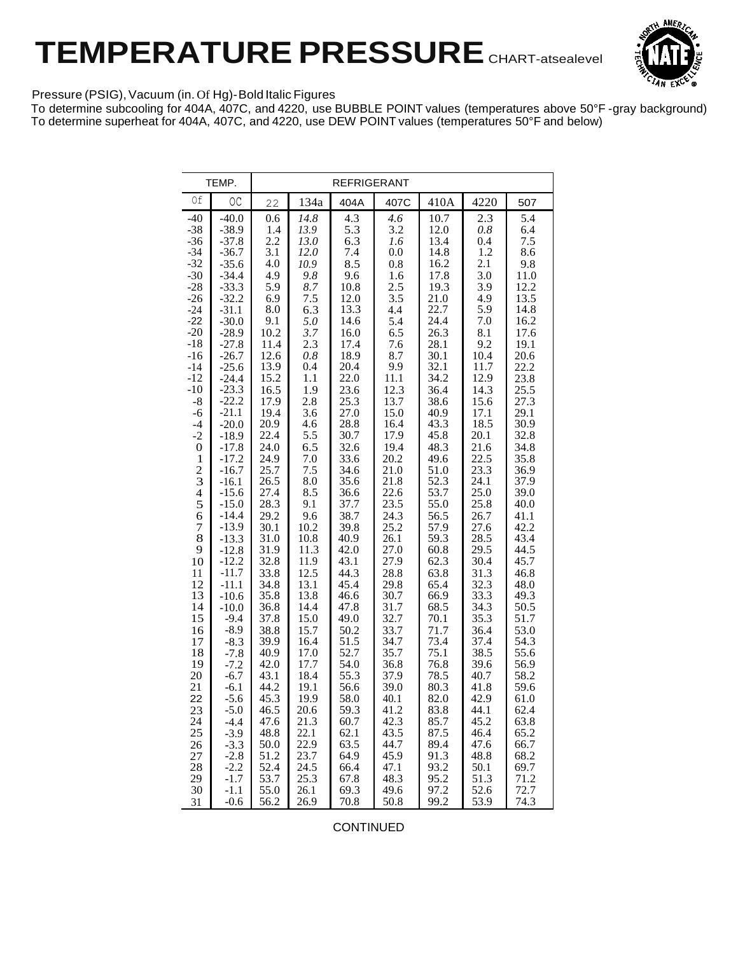# **TEMPERATURE PRESSURE** CHART-atsealevel



#### Pressure (PSIG), Vacuum (in. Of Hg)-Bold Italic Figures

To determine subcooling for 404A, 407C, and 4220, use BUBBLE POINT values (temperatures above 50°F -gray background) To determine superheat for 404A, 407C, and 4220, use DEW POINT values (temperatures 50°F and below)

CONTINUED